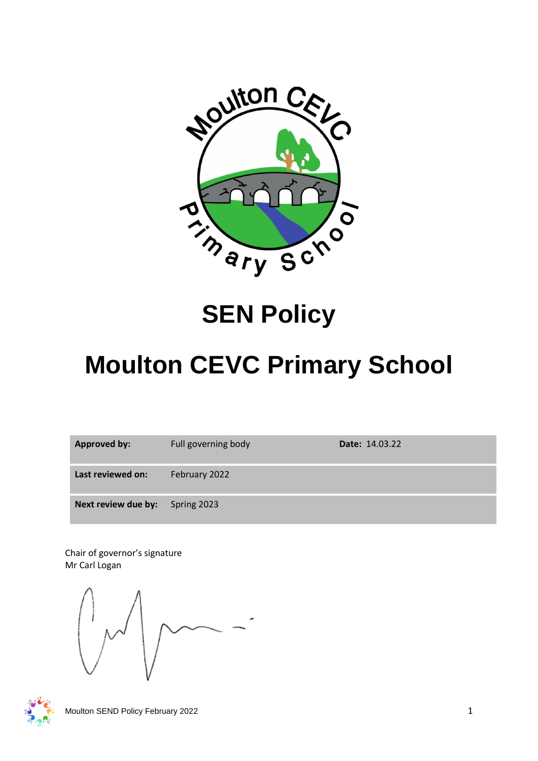

## **SEN Policy**

# **Moulton CEVC Primary School**

| <b>Approved by:</b> | Full governing body | Date: 14.03.22 |
|---------------------|---------------------|----------------|
| Last reviewed on:   | February 2022       |                |
| Next review due by: | Spring 2023         |                |

Chair of governor's signature Mr Carl Logan

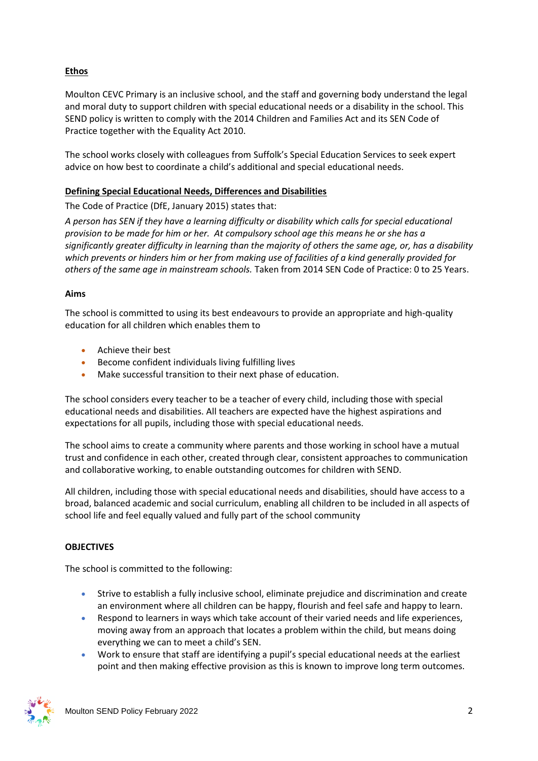## **Ethos**

Moulton CEVC Primary is an inclusive school, and the staff and governing body understand the legal and moral duty to support children with special educational needs or a disability in the school. This SEND policy is written to comply with the 2014 Children and Families Act and its SEN Code of Practice together with the Equality Act 2010.

The school works closely with colleagues from Suffolk's Special Education Services to seek expert advice on how best to coordinate a child's additional and special educational needs.

## **Defining Special Educational Needs, Differences and Disabilities**

The Code of Practice (DfE, January 2015) states that:

*A person has SEN if they have a learning difficulty or disability which calls for special educational provision to be made for him or her. At compulsory school age this means he or she has a significantly greater difficulty in learning than the majority of others the same age, or, has a disability which prevents or hinders him or her from making use of facilities of a kind generally provided for others of the same age in mainstream schools.* Taken from 2014 SEN Code of Practice: 0 to 25 Years.

## **Aims**

The school is committed to using its best endeavours to provide an appropriate and high-quality education for all children which enables them to

- Achieve their best
- Become confident individuals living fulfilling lives
- Make successful transition to their next phase of education.

The school considers every teacher to be a teacher of every child, including those with special educational needs and disabilities. All teachers are expected have the highest aspirations and expectations for all pupils, including those with special educational needs.

The school aims to create a community where parents and those working in school have a mutual trust and confidence in each other, created through clear, consistent approaches to communication and collaborative working, to enable outstanding outcomes for children with SEND.

All children, including those with special educational needs and disabilities, should have access to a broad, balanced academic and social curriculum, enabling all children to be included in all aspects of school life and feel equally valued and fully part of the school community

## **OBJECTIVES**

The school is committed to the following:

- Strive to establish a fully inclusive school, eliminate prejudice and discrimination and create an environment where all children can be happy, flourish and feel safe and happy to learn.
- Respond to learners in ways which take account of their varied needs and life experiences, moving away from an approach that locates a problem within the child, but means doing everything we can to meet a child's SEN.
- Work to ensure that staff are identifying a pupil's special educational needs at the earliest point and then making effective provision as this is known to improve long term outcomes.

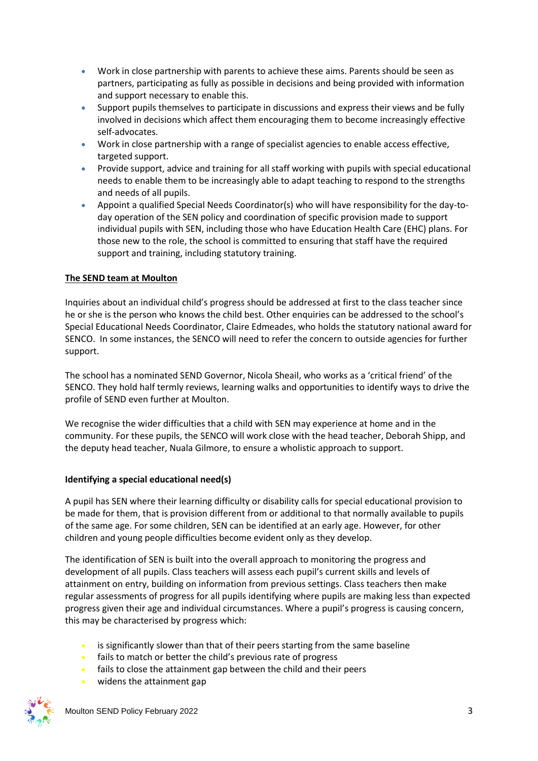- Work in close partnership with parents to achieve these aims. Parents should be seen as partners, participating as fully as possible in decisions and being provided with information and support necessary to enable this.
- Support pupils themselves to participate in discussions and express their views and be fully involved in decisions which affect them encouraging them to become increasingly effective self-advocates.
- Work in close partnership with a range of specialist agencies to enable access effective, targeted support.
- Provide support, advice and training for all staff working with pupils with special educational needs to enable them to be increasingly able to adapt teaching to respond to the strengths and needs of all pupils.
- Appoint a qualified Special Needs Coordinator(s) who will have responsibility for the day-today operation of the SEN policy and coordination of specific provision made to support individual pupils with SEN, including those who have Education Health Care (EHC) plans. For those new to the role, the school is committed to ensuring that staff have the required support and training, including statutory training.

## **The SEND team at Moulton**

Inquiries about an individual child's progress should be addressed at first to the class teacher since he or she is the person who knows the child best. Other enquiries can be addressed to the school's Special Educational Needs Coordinator, Claire Edmeades, who holds the statutory national award for SENCO. In some instances, the SENCO will need to refer the concern to outside agencies for further support.

The school has a nominated SEND Governor, Nicola Sheail, who works as a 'critical friend' of the SENCO. They hold half termly reviews, learning walks and opportunities to identify ways to drive the profile of SEND even further at Moulton.

We recognise the wider difficulties that a child with SEN may experience at home and in the community. For these pupils, the SENCO will work close with the head teacher, Deborah Shipp, and the deputy head teacher, Nuala Gilmore, to ensure a wholistic approach to support.

## **Identifying a special educational need(s)**

A pupil has SEN where their learning difficulty or disability calls for special educational provision to be made for them, that is provision different from or additional to that normally available to pupils of the same age. For some children, SEN can be identified at an early age. However, for other children and young people difficulties become evident only as they develop.

The identification of SEN is built into the overall approach to monitoring the progress and development of all pupils. Class teachers will assess each pupil's current skills and levels of attainment on entry, building on information from previous settings. Class teachers then make regular assessments of progress for all pupils identifying where pupils are making less than expected progress given their age and individual circumstances. Where a pupil's progress is causing concern, this may be characterised by progress which:

- is significantly slower than that of their peers starting from the same baseline
- fails to match or better the child's previous rate of progress
- fails to close the attainment gap between the child and their peers
- widens the attainment gap

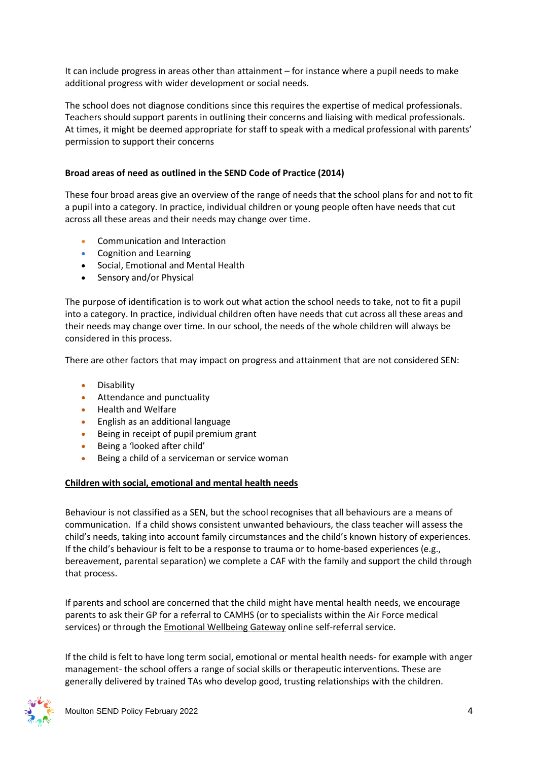It can include progress in areas other than attainment – for instance where a pupil needs to make additional progress with wider development or social needs.

The school does not diagnose conditions since this requires the expertise of medical professionals. Teachers should support parents in outlining their concerns and liaising with medical professionals. At times, it might be deemed appropriate for staff to speak with a medical professional with parents' permission to support their concerns

#### **Broad areas of need as outlined in the SEND Code of Practice (2014)**

These four broad areas give an overview of the range of needs that the school plans for and not to fit a pupil into a category. In practice, individual children or young people often have needs that cut across all these areas and their needs may change over time.

- Communication and Interaction
- Cognition and Learning
- Social, Emotional and Mental Health
- Sensory and/or Physical

The purpose of identification is to work out what action the school needs to take, not to fit a pupil into a category. In practice, individual children often have needs that cut across all these areas and their needs may change over time. In our school, the needs of the whole children will always be considered in this process.

There are other factors that may impact on progress and attainment that are not considered SEN:

- Disability
- Attendance and punctuality
- Health and Welfare
- English as an additional language
- Being in receipt of pupil premium grant
- Being a 'looked after child'
- Being a child of a serviceman or service woman

#### **Children with social, emotional and mental health needs**

Behaviour is not classified as a SEN, but the school recognises that all behaviours are a means of communication. If a child shows consistent unwanted behaviours, the class teacher will assess the child's needs, taking into account family circumstances and the child's known history of experiences. If the child's behaviour is felt to be a response to trauma or to home-based experiences (e.g., bereavement, parental separation) we complete a CAF with the family and support the child through that process.

If parents and school are concerned that the child might have mental health needs, we encourage parents to ask their GP for a referral to CAMHS (or to specialists within the Air Force medical services) or through the **Emotional Wellbeing Gateway online self-referral service**.

If the child is felt to have long term social, emotional or mental health needs- for example with anger management- the school offers a range of social skills or therapeutic interventions. These are generally delivered by trained TAs who develop good, trusting relationships with the children.

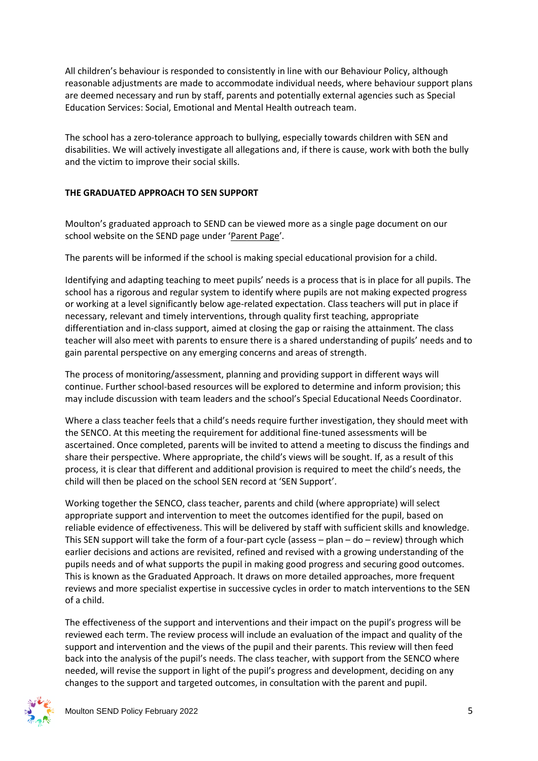All children's behaviour is responded to consistently in line with our Behaviour Policy, although reasonable adjustments are made to accommodate individual needs, where behaviour support plans are deemed necessary and run by staff, parents and potentially external agencies such as Special Education Services: Social, Emotional and Mental Health outreach team.

The school has a zero-tolerance approach to bullying, especially towards children with SEN and disabilities. We will actively investigate all allegations and, if there is cause, work with both the bully and the victim to improve their social skills.

## **THE GRADUATED APPROACH TO SEN SUPPORT**

Moulton's graduated approach to SEND can be viewed more as a single page document on our school website on the SEND page under '[Parent Page](https://www.moulton.suffolk.sch.uk/page/?title=Special+Educational+Needs+%26amp%3B+Disability&pid=26)'.

The parents will be informed if the school is making special educational provision for a child.

Identifying and adapting teaching to meet pupils' needs is a process that is in place for all pupils. The school has a rigorous and regular system to identify where pupils are not making expected progress or working at a level significantly below age-related expectation. Class teachers will put in place if necessary, relevant and timely interventions, through quality first teaching, appropriate differentiation and in-class support, aimed at closing the gap or raising the attainment. The class teacher will also meet with parents to ensure there is a shared understanding of pupils' needs and to gain parental perspective on any emerging concerns and areas of strength.

The process of monitoring/assessment, planning and providing support in different ways will continue. Further school-based resources will be explored to determine and inform provision; this may include discussion with team leaders and the school's Special Educational Needs Coordinator.

Where a class teacher feels that a child's needs require further investigation, they should meet with the SENCO. At this meeting the requirement for additional fine-tuned assessments will be ascertained. Once completed, parents will be invited to attend a meeting to discuss the findings and share their perspective. Where appropriate, the child's views will be sought. If, as a result of this process, it is clear that different and additional provision is required to meet the child's needs, the child will then be placed on the school SEN record at 'SEN Support'.

Working together the SENCO, class teacher, parents and child (where appropriate) will select appropriate support and intervention to meet the outcomes identified for the pupil, based on reliable evidence of effectiveness. This will be delivered by staff with sufficient skills and knowledge. This SEN support will take the form of a four-part cycle (assess  $-$  plan  $-$  do  $-$  review) through which earlier decisions and actions are revisited, refined and revised with a growing understanding of the pupils needs and of what supports the pupil in making good progress and securing good outcomes. This is known as the Graduated Approach. It draws on more detailed approaches, more frequent reviews and more specialist expertise in successive cycles in order to match interventions to the SEN of a child.

The effectiveness of the support and interventions and their impact on the pupil's progress will be reviewed each term. The review process will include an evaluation of the impact and quality of the support and intervention and the views of the pupil and their parents. This review will then feed back into the analysis of the pupil's needs. The class teacher, with support from the SENCO where needed, will revise the support in light of the pupil's progress and development, deciding on any changes to the support and targeted outcomes, in consultation with the parent and pupil.

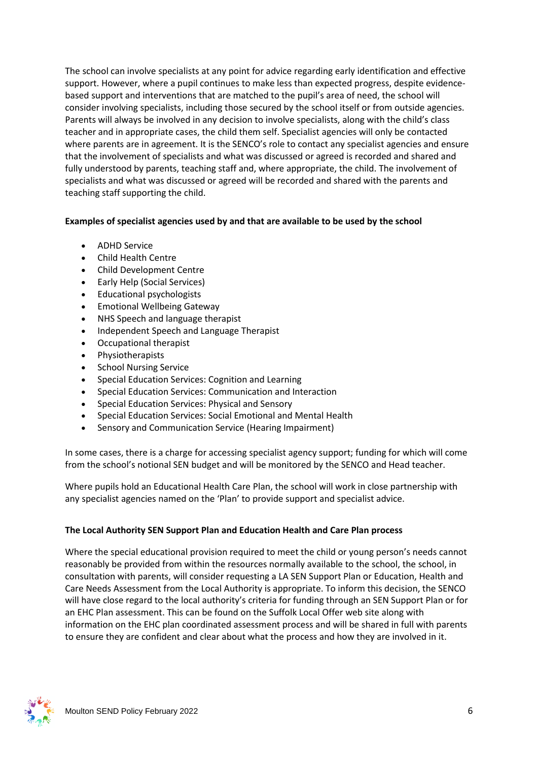The school can involve specialists at any point for advice regarding early identification and effective support. However, where a pupil continues to make less than expected progress, despite evidencebased support and interventions that are matched to the pupil's area of need, the school will consider involving specialists, including those secured by the school itself or from outside agencies. Parents will always be involved in any decision to involve specialists, along with the child's class teacher and in appropriate cases, the child them self. Specialist agencies will only be contacted where parents are in agreement. It is the SENCO's role to contact any specialist agencies and ensure that the involvement of specialists and what was discussed or agreed is recorded and shared and fully understood by parents, teaching staff and, where appropriate, the child. The involvement of specialists and what was discussed or agreed will be recorded and shared with the parents and teaching staff supporting the child.

## **Examples of specialist agencies used by and that are available to be used by the school**

- ADHD Service
- Child Health Centre
- Child Development Centre
- Early Help (Social Services)
- Educational psychologists
- Emotional Wellbeing Gateway
- NHS Speech and language therapist
- Independent Speech and Language Therapist
- Occupational therapist
- Physiotherapists
- School Nursing Service
- Special Education Services: Cognition and Learning
- Special Education Services: Communication and Interaction
- Special Education Services: Physical and Sensory
- Special Education Services: Social Emotional and Mental Health
- Sensory and Communication Service (Hearing Impairment)

In some cases, there is a charge for accessing specialist agency support; funding for which will come from the school's notional SEN budget and will be monitored by the SENCO and Head teacher.

Where pupils hold an Educational Health Care Plan, the school will work in close partnership with any specialist agencies named on the 'Plan' to provide support and specialist advice.

## **The Local Authority SEN Support Plan and Education Health and Care Plan process**

Where the special educational provision required to meet the child or young person's needs cannot reasonably be provided from within the resources normally available to the school, the school, in consultation with parents, will consider requesting a LA SEN Support Plan or Education, Health and Care Needs Assessment from the Local Authority is appropriate. To inform this decision, the SENCO will have close regard to the local authority's criteria for funding through an SEN Support Plan or for an EHC Plan assessment. This can be found on the Suffolk Local Offer web site along with information on the EHC plan coordinated assessment process and will be shared in full with parents to ensure they are confident and clear about what the process and how they are involved in it.

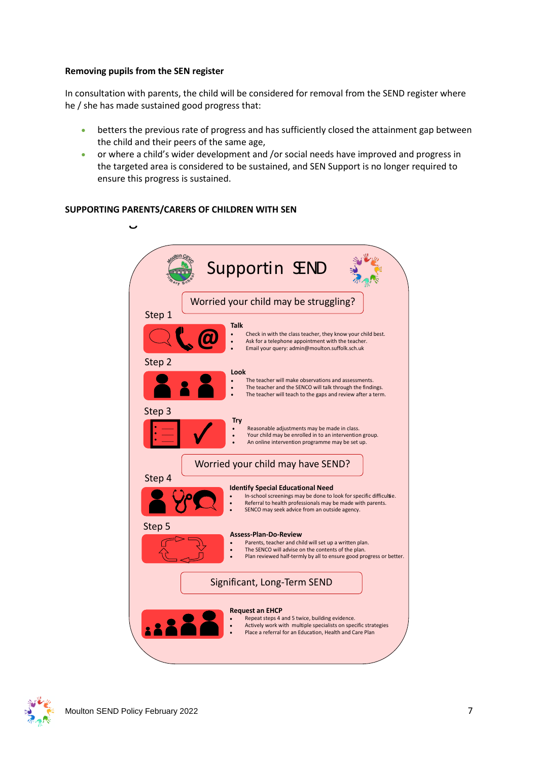#### **Removing pupils from the SEN register**

In consultation with parents, the child will be considered for removal from the SEND register where he / she has made sustained good progress that:

- betters the previous rate of progress and has sufficiently closed the attainment gap between the child and their peers of the same age,
- or where a child's wider development and /or social needs have improved and progress in the targeted area is considered to be sustained, and SEN Support is no longer required to ensure this progress is sustained.

## **SUPPORTING PARENTS/CARERS OF CHILDREN WITH SEN**



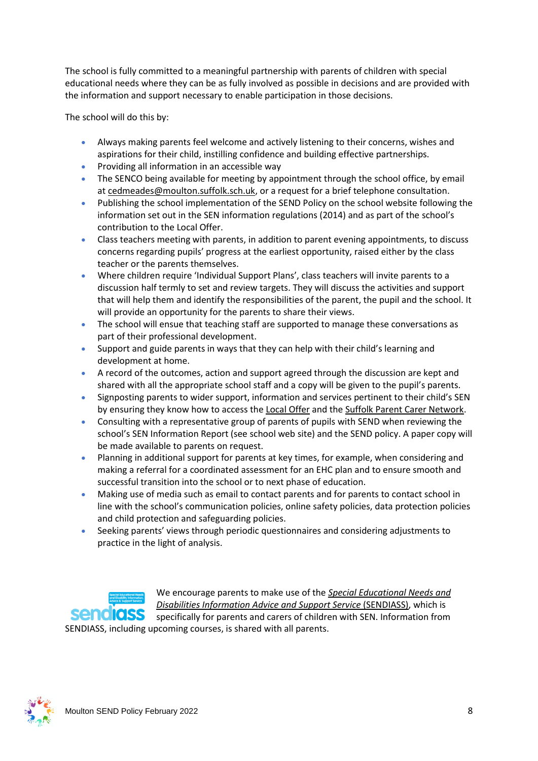The school is fully committed to a meaningful partnership with parents of children with special educational needs where they can be as fully involved as possible in decisions and are provided with the information and support necessary to enable participation in those decisions.

The school will do this by:

- Always making parents feel welcome and actively listening to their concerns, wishes and aspirations for their child, instilling confidence and building effective partnerships.
- Providing all information in an accessible way
- The SENCO being available for meeting by appointment through the school office, by email a[t cedmeades@moulton.suffolk.sch.uk,](mailto:cedmeades@moulton.suffolk.sch.uk) or a request for a brief telephone consultation.
- Publishing the school implementation of the SEND Policy on the school website following the information set out in the SEN information regulations (2014) and as part of the school's contribution to th[e Local Offer.](http://kingsway.leics.sch.uk/new2/?page_id=35)
- Class teachers meeting with parents, in addition to parent evening appointments, to discuss concerns regarding pupils' progress at the earliest opportunity, raised either by the class teacher or the parents themselves.
- Where children require 'Individual Support Plans', class teachers will invite parents to a discussion half termly to set and review targets. They will discuss the activities and support that will help them and identify the responsibilities of the parent, the pupil and the school. It will provide an opportunity for the parents to share their views.
- The school will ensue that teaching staff are supported to manage these conversations as part of their professional development.
- Support and guide parents in ways that they can help with their child's learning and development at home.
- A record of the outcomes, action and support agreed through the discussion are kept and shared with all the appropriate school staff and a copy will be given to the pupil's parents.
- Signposting parents to wider support, information and services pertinent to their child's SEN by ensuring they know how to access the [Local Offer](https://infolink.suffolk.gov.uk/kb5/suffolk/infolink/advice.page?id=i6xW1anGVPE) and the [Suffolk Parent Carer Network.](https://suffolkcarersmatter.org.uk/near-you/suffolk-parent-carer-network/)
- Consulting with a representative group of parents of pupils with SEND when reviewing the school's SEN Information Report (see school web site) and the SEND policy. A paper copy will be made available to parents on request.
- Planning in additional support for parents at key times, for example, when considering and making a referral for a coordinated assessment for an EHC plan and to ensure smooth and successful transition into the school or to next phase of education.
- Making use of media such as email to contact parents and for parents to contact school in line with the school's communication policies, online safety policies, data protection policies and child protection and safeguarding policies.
- Seeking parents' views through periodic questionnaires and considering adjustments to practice in the light of analysis.



We encourage parents to make use of the *[Special Educational Needs and](https://www.suffolksendiass.co.uk/)  [Disabilities Information Advice and Support Service](https://www.suffolksendiass.co.uk/)* (SENDIASS), which is specifically for parents and carers of children with SEN. Information from

SENDIASS, including upcoming courses, is shared with all parents.

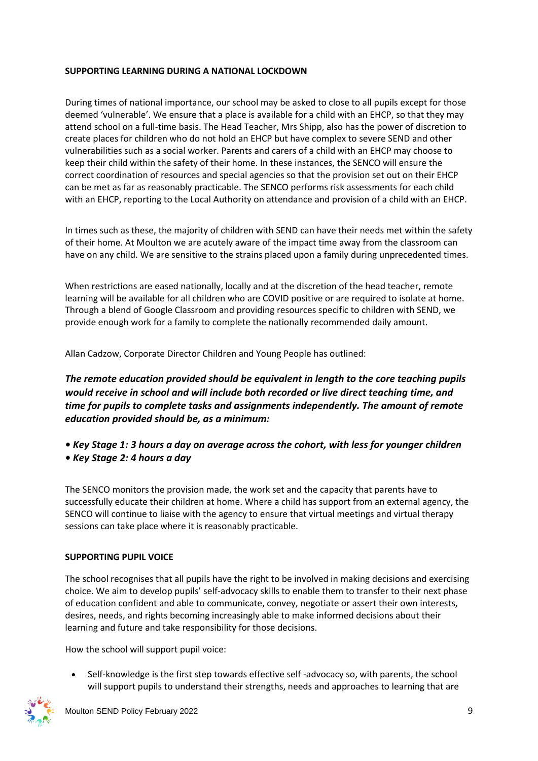## **SUPPORTING LEARNING DURING A NATIONAL LOCKDOWN**

During times of national importance, our school may be asked to close to all pupils except for those deemed 'vulnerable'. We ensure that a place is available for a child with an EHCP, so that they may attend school on a full-time basis. The Head Teacher, Mrs Shipp, also has the power of discretion to create places for children who do not hold an EHCP but have complex to severe SEND and other vulnerabilities such as a social worker. Parents and carers of a child with an EHCP may choose to keep their child within the safety of their home. In these instances, the SENCO will ensure the correct coordination of resources and special agencies so that the provision set out on their EHCP can be met as far as reasonably practicable. The SENCO performs risk assessments for each child with an EHCP, reporting to the Local Authority on attendance and provision of a child with an EHCP.

In times such as these, the majority of children with SEND can have their needs met within the safety of their home. At Moulton we are acutely aware of the impact time away from the classroom can have on any child. We are sensitive to the strains placed upon a family during unprecedented times.

When restrictions are eased nationally, locally and at the discretion of the head teacher, remote learning will be available for all children who are COVID positive or are required to isolate at home. Through a blend of Google Classroom and providing resources specific to children with SEND, we provide enough work for a family to complete the nationally recommended daily amount.

Allan Cadzow, Corporate Director Children and Young People has outlined:

*The remote education provided should be equivalent in length to the core teaching pupils would receive in school and will include both recorded or live direct teaching time, and time for pupils to complete tasks and assignments independently. The amount of remote education provided should be, as a minimum:* 

- *Key Stage 1: 3 hours a day on average across the cohort, with less for younger children*
- *Key Stage 2: 4 hours a day*

The SENCO monitors the provision made, the work set and the capacity that parents have to successfully educate their children at home. Where a child has support from an external agency, the SENCO will continue to liaise with the agency to ensure that virtual meetings and virtual therapy sessions can take place where it is reasonably practicable.

## **SUPPORTING PUPIL VOICE**

The school recognises that all pupils have the right to be involved in making decisions and exercising choice. We aim to develop pupils' self-advocacy skills to enable them to transfer to their next phase of education confident and able to communicate, convey, negotiate or assert their own interests, desires, needs, and rights becoming increasingly able to make informed decisions about their learning and future and take responsibility for those decisions.

How the school will support pupil voice:

• Self-knowledge is the first step towards effective self -advocacy so, with parents, the school will support pupils to understand their strengths, needs and approaches to learning that are

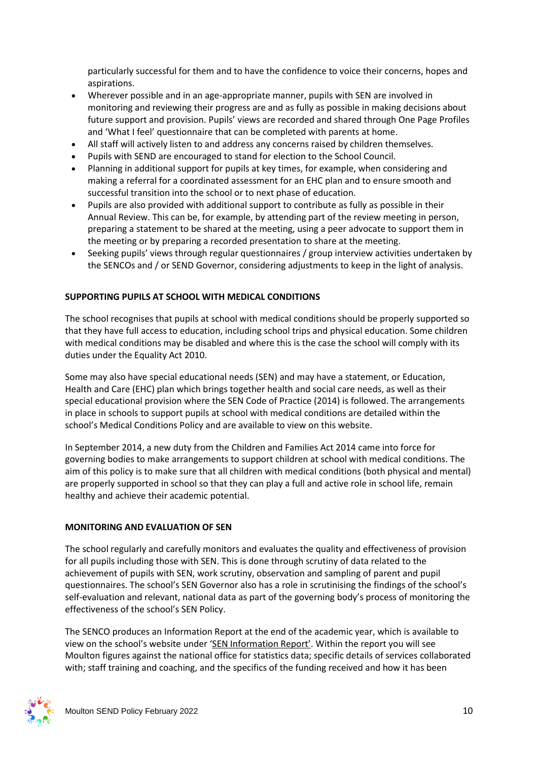particularly successful for them and to have the confidence to voice their concerns, hopes and aspirations.

- Wherever possible and in an age-appropriate manner, pupils with SEN are involved in monitoring and reviewing their progress are and as fully as possible in making decisions about future support and provision. Pupils' views are recorded and shared through One Page Profiles and 'What I feel' questionnaire that can be completed with parents at home.
- All staff will actively listen to and address any concerns raised by children themselves.
- Pupils with SEND are encouraged to stand for election to the School Council.
- Planning in additional support for pupils at key times, for example, when considering and making a referral for a coordinated assessment for an EHC plan and to ensure smooth and successful transition into the school or to next phase of education.
- Pupils are also provided with additional support to contribute as fully as possible in their Annual Review. This can be, for example, by attending part of the review meeting in person, preparing a statement to be shared at the meeting, using a peer advocate to support them in the meeting or by preparing a recorded presentation to share at the meeting.
- Seeking pupils' views through regular questionnaires / group interview activities undertaken by the SENCOs and / or SEND Governor, considering adjustments to keep in the light of analysis.

## **SUPPORTING PUPILS AT SCHOOL WITH MEDICAL CONDITIONS**

The school recognises that pupils at school with medical conditions should be properly supported so that they have full access to education, including school trips and physical education. Some children with medical conditions may be disabled and where this is the case the school will comply with its duties under the Equality Act 2010.

Some may also have special educational needs (SEN) and may have a statement, or Education, Health and Care (EHC) plan which brings together health and social care needs, as well as their special educational provision where the SEN Code of Practice (2014) is followed. The arrangements in place in schools to support pupils at school with medical conditions are detailed within the school's Medical Conditions Policy and are available to view on this website.

In September 2014, a new duty from the Children and Families Act 2014 came into force for governing bodies to make arrangements to support children at school with medical conditions. The aim of this policy is to make sure that all children with medical conditions (both physical and mental) are properly supported in school so that they can play a full and active role in school life, remain healthy and achieve their academic potential.

#### **MONITORING AND EVALUATION OF SEN**

The school regularly and carefully monitors and evaluates the quality and effectiveness of provision for all pupils including those with SEN. This is done through scrutiny of data related to the achievement of pupils with SEN, work scrutiny, observation and sampling of parent and pupil questionnaires. The school's SEN Governor also has a role in scrutinising the findings of the school's self-evaluation and relevant, national data as part of the governing body's process of monitoring the effectiveness of the school's SEN Policy.

The SENCO produces an Information Report at the end of the academic year, which is available to view on the school's website under ['SEN Information Report'](https://www.moulton.suffolk.sch.uk/attachments/download.asp?file=5719&type=pdf). Within the report you will see Moulton figures against the national office for statistics data; specific details of services collaborated with; staff training and coaching, and the specifics of the funding received and how it has been

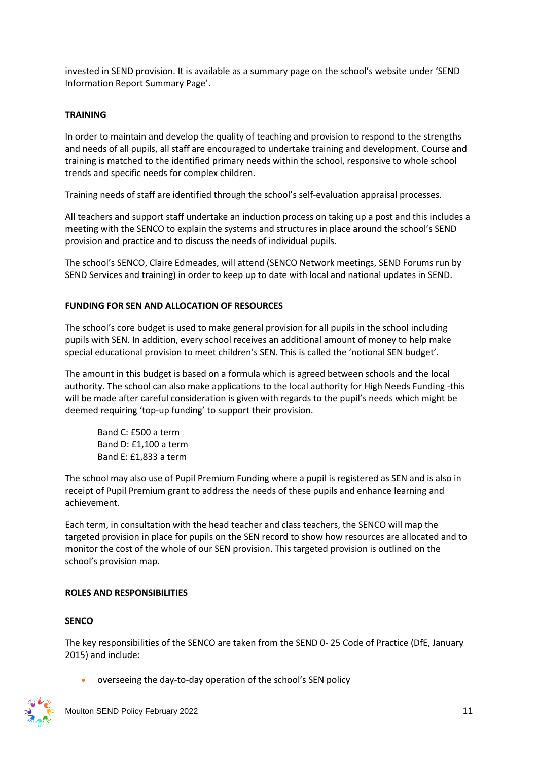invested in SEND provision. It is available as a summary page on the school's website under '[SEND](https://www.moulton.suffolk.sch.uk/attachments/download.asp?file=5746&type=pdf)  [Information Report Summary Page](https://www.moulton.suffolk.sch.uk/attachments/download.asp?file=5746&type=pdf)'.

#### **TRAINING**

In order to maintain and develop the quality of teaching and provision to respond to the strengths and needs of all pupils, all staff are encouraged to undertake training and development. Course and training is matched to the identified primary needs within the school, responsive to whole school trends and specific needs for complex children.

Training needs of staff are identified through the school's self-evaluation appraisal processes.

All teachers and support staff undertake an induction process on taking up a post and this includes a meeting with the SENCO to explain the systems and structures in place around the school's SEND provision and practice and to discuss the needs of individual pupils.

The school's SENCO, Claire Edmeades, will attend (SENCO Network meetings, SEND Forums run by SEND Services and training) in order to keep up to date with local and national updates in SEND.

## **FUNDING FOR SEN AND ALLOCATION OF RESOURCES**

The school's core budget is used to make general provision for all pupils in the school including pupils with SEN. In addition, every school receives an additional amount of money to help make special educational provision to meet children's SEN. This is called the 'notional SEN budget'.

The amount in this budget is based on a formula which is agreed between schools and the local authority. The school can also make applications to the local authority for High Needs Funding -this will be made after careful consideration is given with regards to the pupil's needs which might be deemed requiring 'top-up funding' to support their provision.

Band C: £500 a term Band D: £1,100 a term Band E: £1,833 a term

The school may also use of Pupil Premium Funding where a pupil is registered as SEN and is also in receipt of Pupil Premium grant to address the needs of these pupils and enhance learning and achievement.

Each term, in consultation with the head teacher and class teachers, the SENCO will map the targeted provision in place for pupils on the SEN record to show how resources are allocated and to monitor the cost of the whole of our SEN provision. This targeted provision is outlined on the school's provision map.

## **ROLES AND RESPONSIBILITIES**

## **SENCO**

The key responsibilities of the SENCO are taken from the SEND 0- 25 Code of Practice (DfE, January 2015) and include:

• overseeing the day-to-day operation of the school's SEN policy

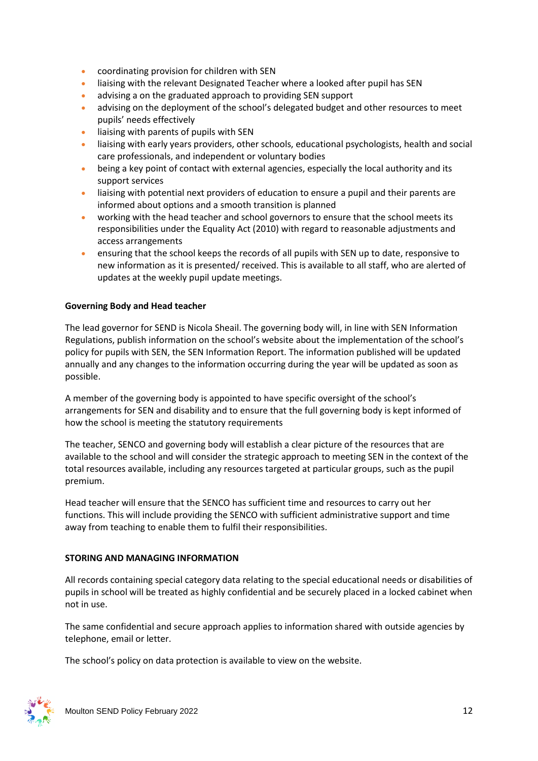- coordinating provision for children with SEN
- liaising with the relevant Designated Teacher where a looked after pupil has SEN
- advising a on the graduated approach to providing SEN support
- advising on the deployment of the school's delegated budget and other resources to meet pupils' needs effectively
- liaising with parents of pupils with SEN
- liaising with early years providers, other schools, educational psychologists, health and social care professionals, and independent or voluntary bodies
- being a key point of contact with external agencies, especially the local authority and its support services
- liaising with potential next providers of education to ensure a pupil and their parents are informed about options and a smooth transition is planned
- working with the head teacher and school governors to ensure that the school meets its responsibilities under the Equality Act (2010) with regard to reasonable adjustments and access arrangements
- ensuring that the school keeps the records of all pupils with SEN up to date, responsive to new information as it is presented/ received. This is available to all staff, who are alerted of updates at the weekly pupil update meetings.

#### **Governing Body and Head teacher**

The lead governor for SEND is Nicola Sheail. The governing body will, in line with SEN Information Regulations, publish information on the school's website about the implementation of the school's policy for pupils with SEN, the SEN Information Report. The information published will be updated annually and any changes to the information occurring during the year will be updated as soon as possible.

A member of the governing body is appointed to have specific oversight of the school's arrangements for SEN and disability and to ensure that the full governing body is kept informed of how the school is meeting the statutory requirements

The teacher, SENCO and governing body will establish a clear picture of the resources that are available to the school and will consider the strategic approach to meeting SEN in the context of the total resources available, including any resources targeted at particular groups, such as the pupil premium.

Head teacher will ensure that the SENCO has sufficient time and resources to carry out her functions. This will include providing the SENCO with sufficient administrative support and time away from teaching to enable them to fulfil their responsibilities.

## **STORING AND MANAGING INFORMATION**

All records containing special category data relating to the special educational needs or disabilities of pupils in school will be treated as highly confidential and be securely placed in a locked cabinet when not in use.

The same confidential and secure approach applies to information shared with outside agencies by telephone, email or letter.

The school's policy on data protection is available to view on the website.

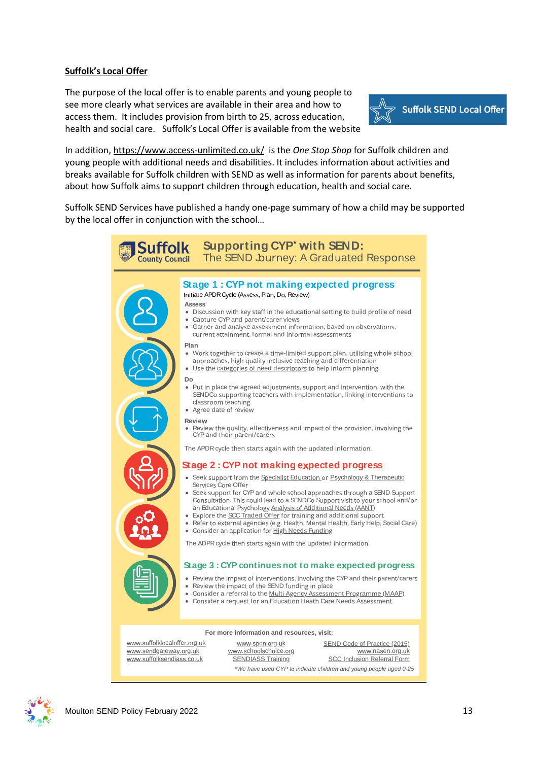#### **Suffolk's Local Offer**

The purpose of the local offer is to enable parents and young people to see more clearly what services are available in their area and how to access them. It includes provision from birth to 25, across education, health and social care. Suffolk's Local Offer is available from the website



In addition[, https://www.access-unlimited.co.uk/](https://www.access-unlimited.co.uk/) is the *One Stop [Shop](https://www.access-unlimited.co.uk/home/access-unlimited-one-stop-shop/)* for Suffolk children and young people with additional needs and disabilities. It includes information about activities and breaks available for Suffolk children with SEND as well as information for parents about benefits, about how Suffolk aims to support children through education, health and social care.

Suffolk SEND Services have published a handy one-page summary of how a child may be supported by the local offer in conjunction with the school…

| <b>Supporting CYP' with SEND:</b><br><b>Suffolk</b><br>The SEND Journey: A Graduated Response<br><b>County Council</b> |                                                                                                                                                                                                                                                                                                                                                                                                                                                                                                                                                                                                                                                                                                                                                                                      |                                                                                               |  |
|------------------------------------------------------------------------------------------------------------------------|--------------------------------------------------------------------------------------------------------------------------------------------------------------------------------------------------------------------------------------------------------------------------------------------------------------------------------------------------------------------------------------------------------------------------------------------------------------------------------------------------------------------------------------------------------------------------------------------------------------------------------------------------------------------------------------------------------------------------------------------------------------------------------------|-----------------------------------------------------------------------------------------------|--|
| Plan                                                                                                                   | Stage 1: CYP not making expected progress<br>Initiate APDR Cycle (Assess, Plan, Do, Review)<br><b>Assess</b><br>• Discussion with key staff in the educational setting to build profile of need<br>Capture CYP and parent/carer views<br>Gather and analyse assessment information, based on observations,<br>current attainment, formal and informal assessments<br>• Work together to create a time-limited support plan, utilising whole school<br>approaches, high quality inclusive teaching and differentiation<br>• Use the categories of need descriptors to help inform planning                                                                                                                                                                                            |                                                                                               |  |
| Do                                                                                                                     | • Put in place the agreed adjustments, support and intervention, with the<br>SENDCo supporting teachers with implementation, linking interventions to<br>classroom teaching.<br>• Agree date of review<br><b>Review</b><br>Review the quality, effectiveness and impact of the provision, involving the<br>CYP and their parent/carers                                                                                                                                                                                                                                                                                                                                                                                                                                               |                                                                                               |  |
|                                                                                                                        | The APDR cycle then starts again with the updated information.<br>Stage 2: CYP not making expected progress<br>Seek support from the Specialist Education or Psychology & Therapeutic<br>Services Core Offer<br>• Seek support for CYP and whole school approaches through a SEND Support<br>Consultation. This could lead to a SENDCo Support visit to your school and/or<br>an Educational Psychology Analysis of Additional Needs (AANT)<br>• Explore the SCC Traded Offer for training and additional support<br>• Refer to external agencies (e.g. Health, Mental Health, Early Help, Social Care)<br>Consider an application for High Needs Funding<br>The ADPR cycle then starts again with the updated information.<br>Stage 3 : CYP continues not to make expected progress |                                                                                               |  |
|                                                                                                                        | • Review the impact of interventions, involving the CYP and their parent/carers<br>Review the impact of the SEND funding in place<br>Consider a referral to the Multi Agency Assessment Programme (MAAP)<br>Consider a request for an Education Heath Care Needs Assessment                                                                                                                                                                                                                                                                                                                                                                                                                                                                                                          |                                                                                               |  |
| For more information and resources, visit:                                                                             |                                                                                                                                                                                                                                                                                                                                                                                                                                                                                                                                                                                                                                                                                                                                                                                      |                                                                                               |  |
| www.suffolklocaloffer.org.uk<br>www.sendgateway.org.uk<br>www.suffolksendiass.co.uk                                    | www.spcn.org.uk<br>www.schoolschoice.org<br><b>SENDIASS Training</b>                                                                                                                                                                                                                                                                                                                                                                                                                                                                                                                                                                                                                                                                                                                 | <b>SEND Code of Practice (2015)</b><br>www.nasen.org.uk<br><b>SCC Inclusion Referral Form</b> |  |

*\*We ha <sup>e</sup> ed CYP d ca <sup>e</sup> ch d <sup>e</sup> <sup>a</sup> d g <sup>e</sup> <sup>e</sup> aged 0-25*